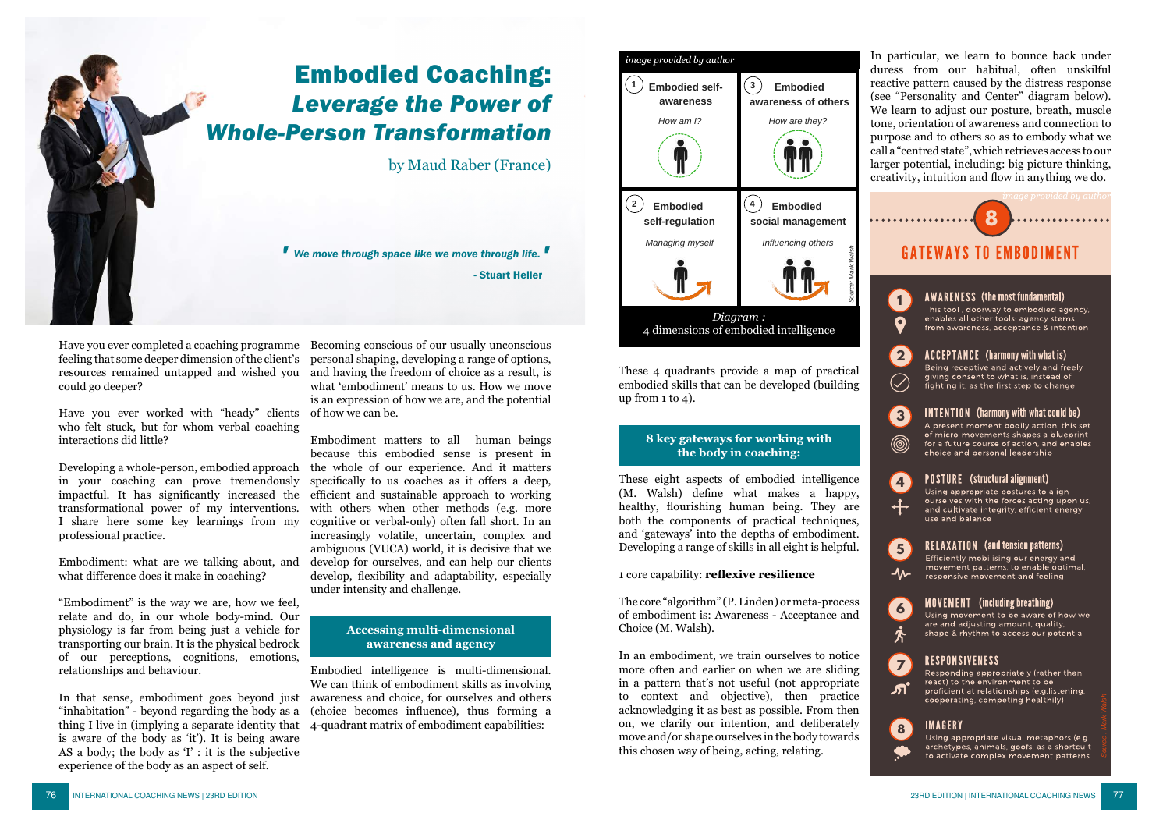

# Embodied Coaching: *Leverage the Power of Whole-Person Transformation*

by Maud Raber (France)

*We move through space like we move through life. ' '*  - Stuart Heller

Have you ever completed a coaching programme Becoming conscious of our usually unconscious feeling that some deeper dimension of the client's resources remained untapped and wished you could go deeper?

Have you ever worked with "heady" clients who felt stuck, but for whom verbal coaching interactions did little?

Developing a whole-person, embodied approach in your coaching can prove tremendously impactful. It has significantly increased the transformational power of my interventions. I share here some key learnings from my professional practice.

Embodiment: what are we talking about, and what difference does it make in coaching?

"Embodiment" is the way we are, how we feel, relate and do, in our whole body-mind. Our physiology is far from being just a vehicle for transporting our brain. It is the physical bedrock of our perceptions, cognitions, emotions, relationships and behaviour.

In that sense, embodiment goes beyond just "inhabitation" - beyond regarding the body as a thing I live in (implying a separate identity that is aware of the body as 'it'). It is being aware AS a body; the body as 'I' : it is the subjective experience of the body as an aspect of self.

personal shaping, developing a range of options, and having the freedom of choice as a result, is what 'embodiment' means to us. How we move is an expression of how we are, and the potential of how we can be.

Embodiment matters to all human beings because this embodied sense is present in the whole of our experience. And it matters specifically to us coaches as it offers a deep, efficient and sustainable approach to working with others when other methods (e.g. more cognitive or verbal-only) often fall short. In an increasingly volatile, uncertain, complex and ambiguous (VUCA) world, it is decisive that we develop for ourselves, and can help our clients develop, flexibility and adaptability, especially under intensity and challenge.

### **Accessing multi-dimensional awareness and agency**

Embodied intelligence is multi-dimensional. We can think of embodiment skills as involving awareness and choice, for ourselves and others (choice becomes influence), thus forming a 4-quadrant matrix of embodiment capabilities:



These 4 quadrants provide a map of practical embodied skills that can be developed (building up from  $1$  to  $4$ ).

# **8 key gateways for working with the body in coaching:**

These eight aspects of embodied intelligence  $(M, Wa\bar{b})$  define what makes a happy. healthy, flourishing human being. They are both the components of practical techniques, and 'gateways' into the depths of embodiment. Developing a range of skills in all eight is helpful.

# 1 core capability: reflexive resilience

The core "algorithm" (P. Linden) or meta-process of embodiment is: Awareness - Acceptance and Choice (M. Walsh).

In an embodiment, we train ourselves to notice more often and earlier on when we are sliding in a pattern that's not useful (not appropriate to context and objective), then practice acknowledging it as best as possible. From then on, we clarify our intention, and deliberately move and/or shape ourselves in the body towards this chosen way of being, acting, relating.

In particular, we learn to bounce back under duress from our habitual, often unskilful reactive pattern caused by the distress response (see "Personality and Center" diagram below). We learn to adjust our posture, breath, muscle tone, orientation of awareness and connection to purpose and to others so as to embody what we call a "centred state", which retrieves access to our larger potential, including: big picture thinking, creativity, intuition and flow in anything we do.



shape & rhythm to access our potential

# **RESPONSIVENESS**

**7** Responding appropriately (rather than react) to the environment to be .சி proficient at relationships (e.g.listening, cooperating, competing healthily)

## **IMAGERY**

**8**

Using appropriate visual metaphors (e.g. archetypes, animals, goofs, as a shortcult to activate complex movement patterns